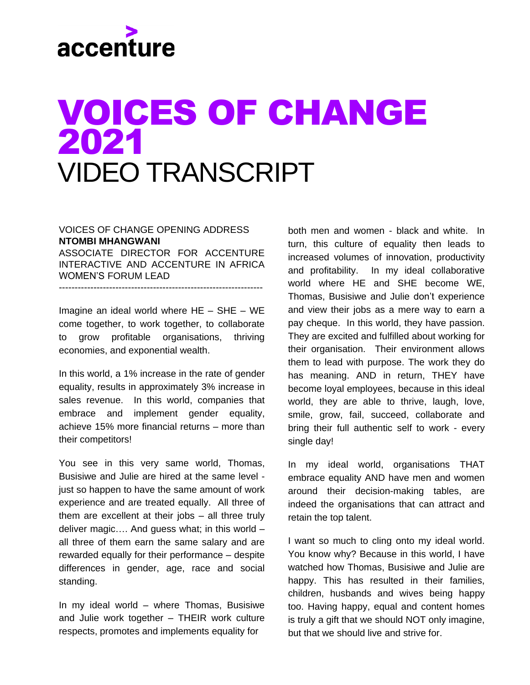## accenture

### VOICES OF CHANGE 2021 VIDEO TRANSCRIPT

### VOICES OF CHANGE OPENING ADDRESS **NTOMBI MHANGWANI**

ASSOCIATE DIRECTOR FOR ACCENTURE INTERACTIVE AND ACCENTURE IN AFRICA WOMEN'S FORUM LEAD

-----------------------------------------------------------------

Imagine an ideal world where HE – SHE – WE come together, to work together, to collaborate to grow profitable organisations, thriving economies, and exponential wealth.

In this world, a 1% increase in the rate of gender equality, results in approximately 3% increase in sales revenue. In this world, companies that embrace and implement gender equality, achieve 15% more financial returns – more than their competitors!

You see in this very same world, Thomas, Busisiwe and Julie are hired at the same level just so happen to have the same amount of work experience and are treated equally. All three of them are excellent at their jobs – all three truly deliver magic…. And guess what; in this world – all three of them earn the same salary and are rewarded equally for their performance – despite differences in gender, age, race and social standing.

In my ideal world – where Thomas, Busisiwe and Julie work together – THEIR work culture respects, promotes and implements equality for

both men and women - black and white. In turn, this culture of equality then leads to increased volumes of innovation, productivity and profitability. In my ideal collaborative world where HE and SHE become WE, Thomas, Busisiwe and Julie don't experience and view their jobs as a mere way to earn a pay cheque. In this world, they have passion. They are excited and fulfilled about working for their organisation. Their environment allows them to lead with purpose. The work they do has meaning. AND in return, THEY have become loyal employees, because in this ideal world, they are able to thrive, laugh, love, smile, grow, fail, succeed, collaborate and bring their full authentic self to work - every single day!

In my ideal world, organisations THAT embrace equality AND have men and women around their decision-making tables, are indeed the organisations that can attract and retain the top talent.

I want so much to cling onto my ideal world. You know why? Because in this world, I have watched how Thomas, Busisiwe and Julie are happy. This has resulted in their families, children, husbands and wives being happy too. Having happy, equal and content homes is truly a gift that we should NOT only imagine, but that we should live and strive for.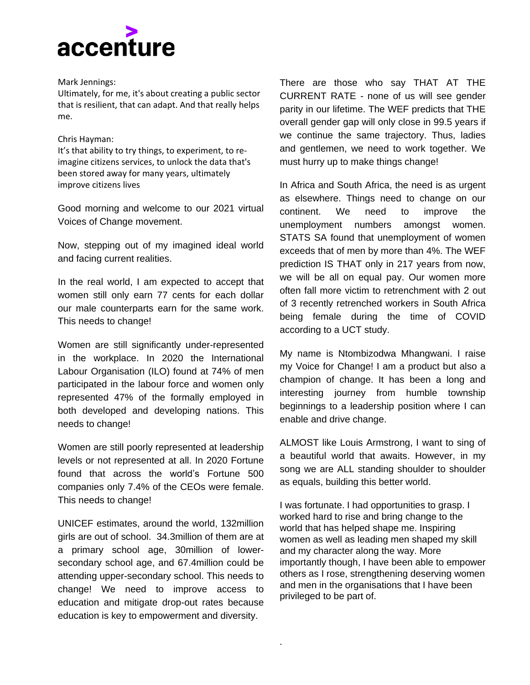

#### Mark Jennings:

Ultimately, for me, it's about creating a public sector that is resilient, that can adapt. And that really helps me.

#### Chris Hayman:

It's that ability to try things, to experiment, to reimagine citizens services, to unlock the data that's been stored away for many years, ultimately improve citizens lives

Good morning and welcome to our 2021 virtual Voices of Change movement.

Now, stepping out of my imagined ideal world and facing current realities.

In the real world, I am expected to accept that women still only earn 77 cents for each dollar our male counterparts earn for the same work. This needs to change!

Women are still significantly under-represented in the workplace. In 2020 the International Labour Organisation (ILO) found at 74% of men participated in the labour force and women only represented 47% of the formally employed in both developed and developing nations. This needs to change!

Women are still poorly represented at leadership levels or not represented at all. In 2020 Fortune found that across the world's Fortune 500 companies only 7.4% of the CEOs were female. This needs to change!

UNICEF estimates, around the world, 132million girls are out of school. 34.3million of them are at a primary school age, 30million of lowersecondary school age, and 67.4million could be attending upper-secondary school. This needs to change! We need to improve access to education and mitigate drop-out rates because education is key to empowerment and diversity.

There are those who say THAT AT THE CURRENT RATE - none of us will see gender parity in our lifetime. The WEF predicts that THE overall gender gap will only close in 99.5 years if we continue the same trajectory. Thus, ladies and gentlemen, we need to work together. We must hurry up to make things change!

In Africa and South Africa, the need is as urgent as elsewhere. Things need to change on our continent. We need to improve the unemployment numbers amongst women. STATS SA found that unemployment of women exceeds that of men by more than 4%. The WEF prediction IS THAT only in 217 years from now, we will be all on equal pay. Our women more often fall more victim to retrenchment with 2 out of 3 recently retrenched workers in South Africa being female during the time of COVID according to a UCT study.

My name is Ntombizodwa Mhangwani. I raise my Voice for Change! I am a product but also a champion of change. It has been a long and interesting journey from humble township beginnings to a leadership position where I can enable and drive change.

ALMOST like Louis Armstrong, I want to sing of a beautiful world that awaits. However, in my song we are ALL standing shoulder to shoulder as equals, building this better world.

I was fortunate. I had opportunities to grasp. I worked hard to rise and bring change to the world that has helped shape me. Inspiring women as well as leading men shaped my skill and my character along the way. More importantly though, I have been able to empower others as I rose, strengthening deserving women and men in the organisations that I have been privileged to be part of.

.